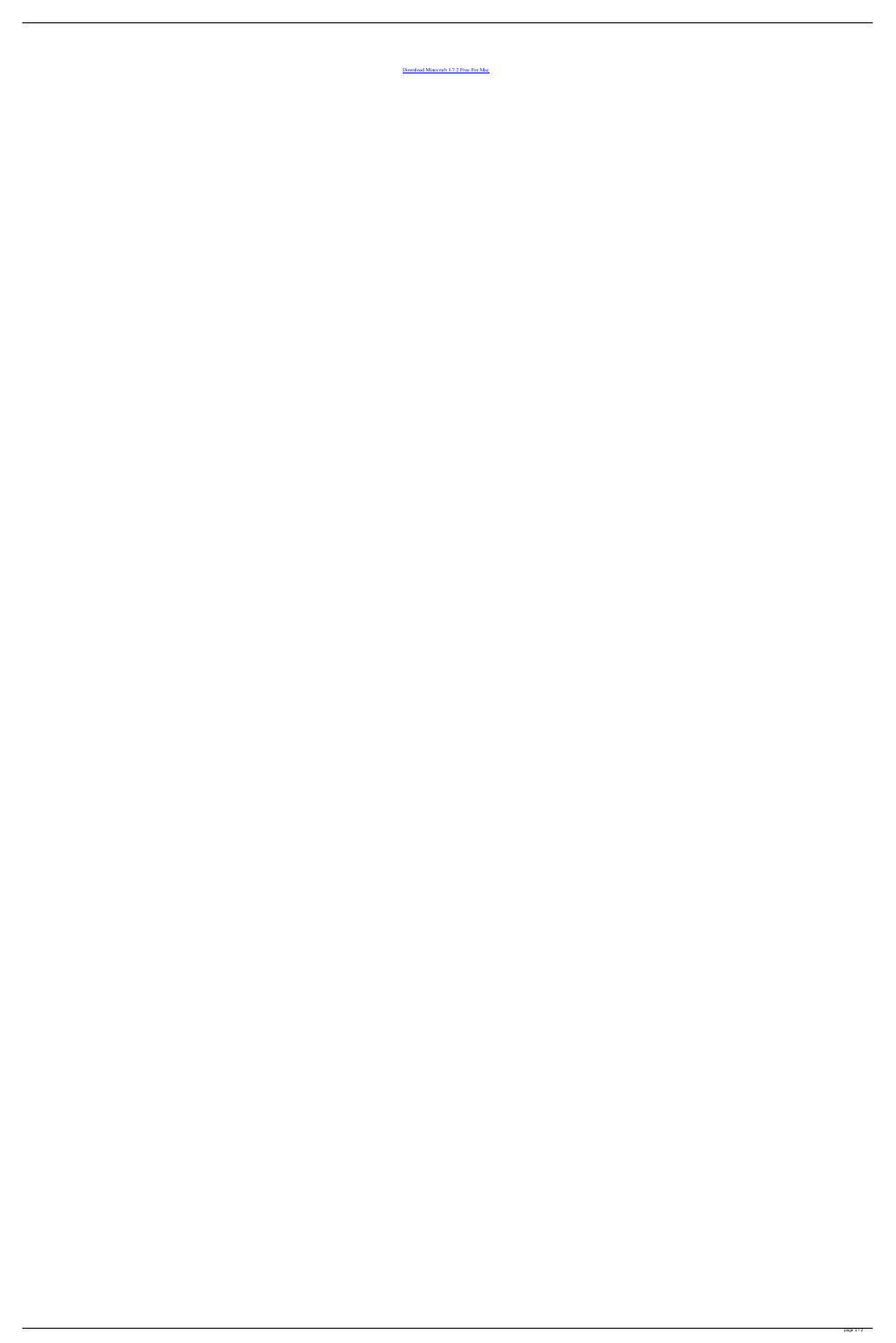[Download Minecraft 1.7.2 Free For Mac](https://byltly.com/27n4bz)